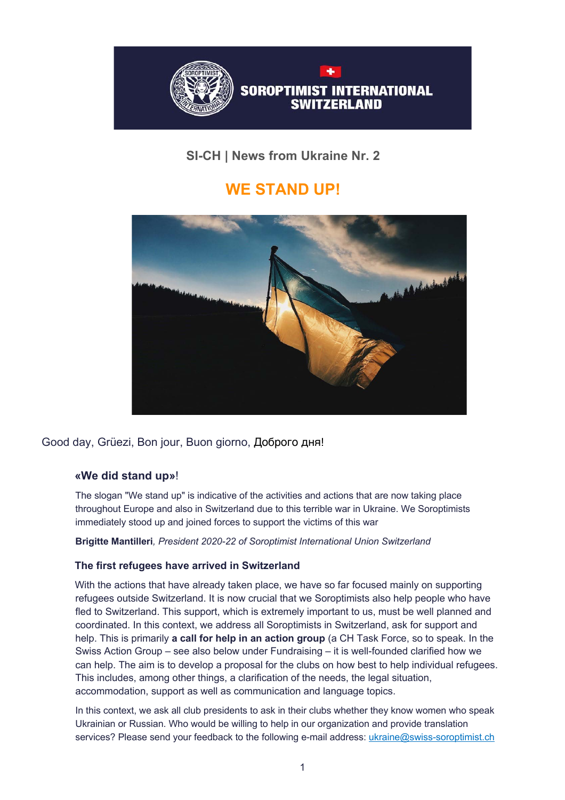

## **SI-CH | News from Ukraine Nr. 2**

# **WE STAND UP!**



## Good day, Grüezi, Bon jour, Buon giorno, Доброго дня!

#### **«We did stand up»**!

The slogan "We stand up" is indicative of the activities and actions that are now taking place throughout Europe and also in Switzerland due to this terrible war in Ukraine. We Soroptimists immediately stood up and joined forces to support the victims of this war

**Brigitte Mantilleri***, President 2020-22 of Soroptimist International Union Switzerland*

#### **The first refugees have arrived in Switzerland**

With the actions that have already taken place, we have so far focused mainly on supporting refugees outside Switzerland. It is now crucial that we Soroptimists also help people who have fled to Switzerland. This support, which is extremely important to us, must be well planned and coordinated. In this context, we address all Soroptimists in Switzerland, ask for support and help. This is primarily **a call for help in an action group** (a CH Task Force, so to speak. In the Swiss Action Group – see also below under Fundraising – it is well-founded clarified how we can help. The aim is to develop a proposal for the clubs on how best to help individual refugees. This includes, among other things, a clarification of the needs, the legal situation, accommodation, support as well as communication and language topics.

In this context, we ask all club presidents to ask in their clubs whether they know women who speak Ukrainian or Russian. Who would be willing to help in our organization and provide translation services? Please send your feedback to the following e-mail address: ukraine@swiss-soroptimist.ch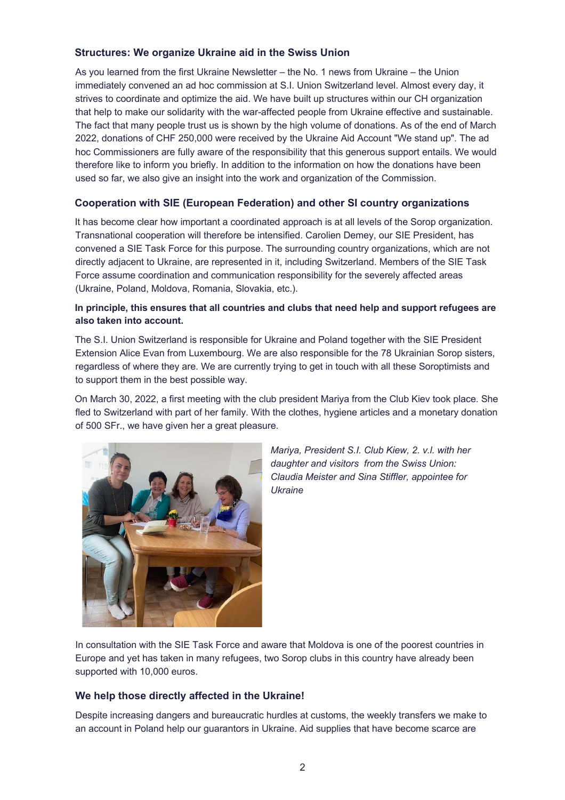#### **Structures: We organize Ukraine aid in the Swiss Union**

As you learned from the first Ukraine Newsletter – the No. 1 news from Ukraine – the Union immediately convened an ad hoc commission at S.I. Union Switzerland level. Almost every day, it strives to coordinate and optimize the aid. We have built up structures within our CH organization that help to make our solidarity with the war-affected people from Ukraine effective and sustainable. The fact that many people trust us is shown by the high volume of donations. As of the end of March 2022, donations of CHF 250,000 were received by the Ukraine Aid Account "We stand up". The ad hoc Commissioners are fully aware of the responsibility that this generous support entails. We would therefore like to inform you briefly. In addition to the information on how the donations have been used so far, we also give an insight into the work and organization of the Commission.

#### **Cooperation with SIE (European Federation) and other SI country organizations**

It has become clear how important a coordinated approach is at all levels of the Sorop organization. Transnational cooperation will therefore be intensified. Carolien Demey, our SIE President, has convened a SIE Task Force for this purpose. The surrounding country organizations, which are not directly adjacent to Ukraine, are represented in it, including Switzerland. Members of the SIE Task Force assume coordination and communication responsibility for the severely affected areas (Ukraine, Poland, Moldova, Romania, Slovakia, etc.).

#### **In principle, this ensures that all countries and clubs that need help and support refugees are also taken into account.**

The S.I. Union Switzerland is responsible for Ukraine and Poland together with the SIE President Extension Alice Evan from Luxembourg. We are also responsible for the 78 Ukrainian Sorop sisters, regardless of where they are. We are currently trying to get in touch with all these Soroptimists and to support them in the best possible way.

On March 30, 2022, a first meeting with the club president Mariya from the Club Kiev took place. She fled to Switzerland with part of her family. With the clothes, hygiene articles and a monetary donation of 500 SFr., we have given her a great pleasure.



*Mariya, President S.I. Club Kiew, 2. v.l. with her daughter and visitors from the Swiss Union: Claudia Meister and Sina Stiffler, appointee for Ukraine*

In consultation with the SIE Task Force and aware that Moldova is one of the poorest countries in Europe and yet has taken in many refugees, two Sorop clubs in this country have already been supported with 10,000 euros.

#### **We help those directly affected in the Ukraine!**

Despite increasing dangers and bureaucratic hurdles at customs, the weekly transfers we make to an account in Poland help our guarantors in Ukraine. Aid supplies that have become scarce are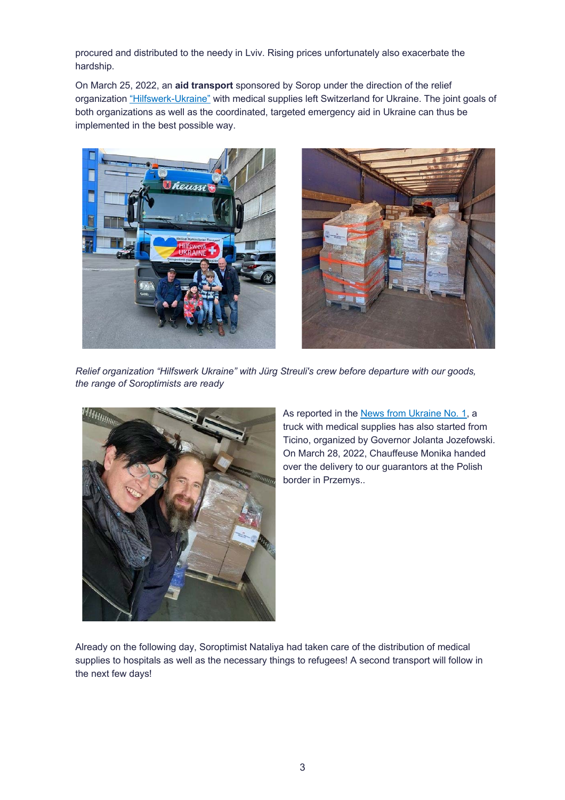procured and distributed to the needy in Lviv. Rising prices unfortunately also exacerbate the hardship.

On March 25, 2022, an **aid transport** sponsored by Sorop under the direction of the relief organization "Hilfswerk-Ukraine" with medical supplies left Switzerland for Ukraine. The joint goals of both organizations as well as the coordinated, targeted emergency aid in Ukraine can thus be implemented in the best possible way.





*Relief organization "Hilfswerk Ukraine" with Jürg Streuli's crew before departure with our goods, the range of Soroptimists are ready*



As reported in the News from Ukraine No. 1, a truck with medical supplies has also started from Ticino, organized by Governor Jolanta Jozefowski. On March 28, 2022, Chauffeuse Monika handed over the delivery to our guarantors at the Polish border in Przemys..

Already on the following day, Soroptimist Nataliya had taken care of the distribution of medical supplies to hospitals as well as the necessary things to refugees! A second transport will follow in the next few days!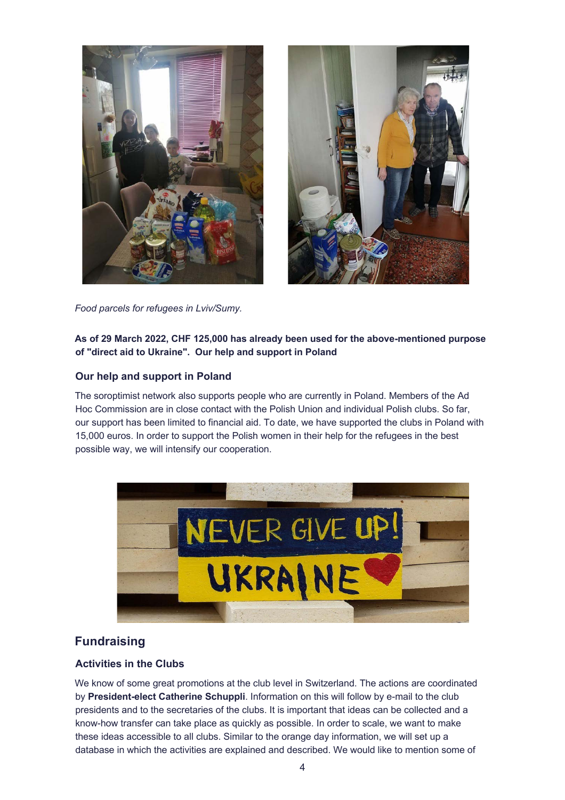



*Food parcels for refugees in Lviv/Sumy.*

#### **As of 29 March 2022, CHF 125,000 has already been used for the above-mentioned purpose of "direct aid to Ukraine". Our help and support in Poland**

#### **Our help and support in Poland**

The soroptimist network also supports people who are currently in Poland. Members of the Ad Hoc Commission are in close contact with the Polish Union and individual Polish clubs. So far, our support has been limited to financial aid. To date, we have supported the clubs in Poland with 15,000 euros. In order to support the Polish women in their help for the refugees in the best possible way, we will intensify our cooperation.



## **Fundraising**

#### **Activities in the Clubs**

We know of some great promotions at the club level in Switzerland. The actions are coordinated by **President-elect Catherine Schuppli**. Information on this will follow by e-mail to the club presidents and to the secretaries of the clubs. It is important that ideas can be collected and a know-how transfer can take place as quickly as possible. In order to scale, we want to make these ideas accessible to all clubs. Similar to the orange day information, we will set up a database in which the activities are explained and described. We would like to mention some of